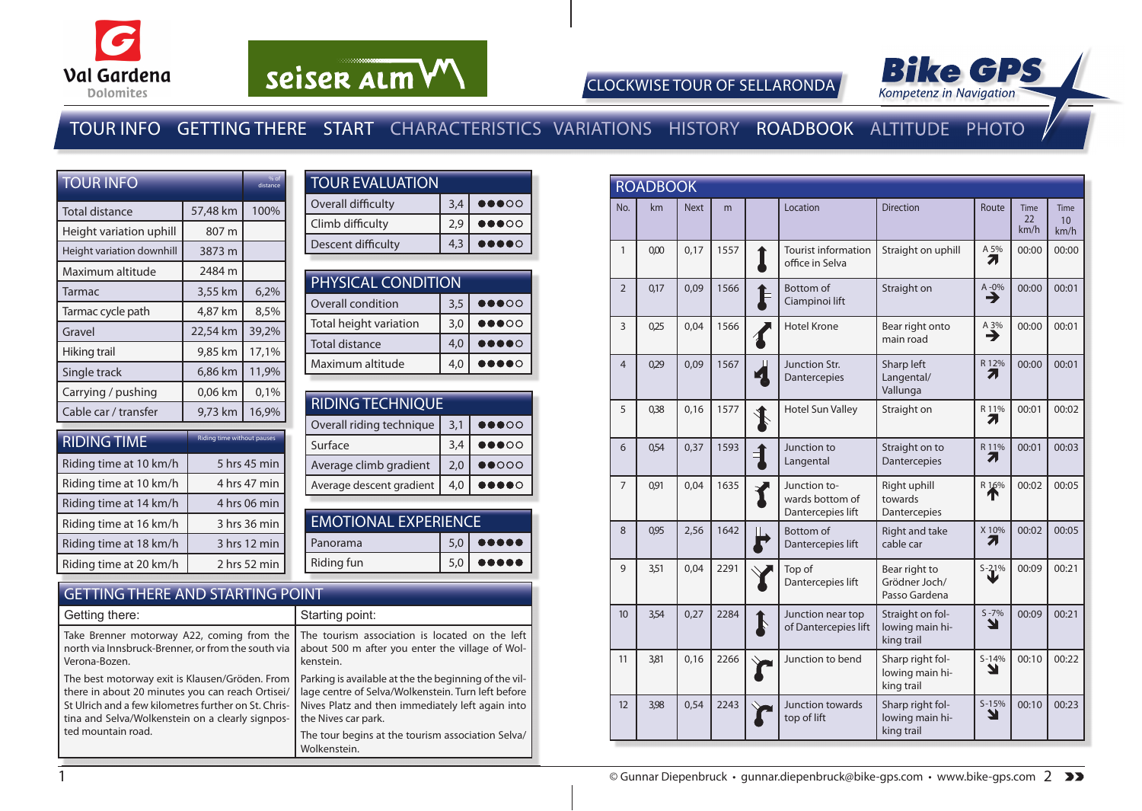



### CLOCKWISE TOUR OF SELLARONDA

### TOUR INFO GETTING THERE START CHARACTERISTICS VARIATIONS HISTORY ROADBOOK ALTITUDE PHOTO

| <b>TOUR INFO</b>          | % of<br>distance           |       |
|---------------------------|----------------------------|-------|
| Total distance            | 57,48 km                   | 100%  |
| Height variation uphill   | 807 m                      |       |
| Height variation downhill | 3873 m                     |       |
| Maximum altitude          | 2484 m                     |       |
| Tarmac                    | 3,55 km                    | 6,2%  |
| Tarmac cycle path         | 4.87 km                    | 8,5%  |
| Gravel                    | 22,54 km                   | 39,2% |
| Hiking trail              | 9,85 km                    | 17,1% |
| Single track              | 6,86 km                    | 11,9% |
| Carrying / pushing        | 0,06 km                    | 0,1%  |
| Cable car / transfer      | 9,73 km                    | 16,9% |
|                           |                            |       |
| <b>RIDING TIME</b>        | Riding time without pauses |       |

Riding time at 10 km/h  $\vert$  5 hrs 45 min Riding time at 10 km/h  $\vert$  4 hrs 47 min Riding time at 14 km/h  $\vert$  4 hrs 06 min Riding time at 16 km/h  $\vert$  3 hrs 36 min Riding time at 18 km/h  $\vert$  3 hrs 12 min Riding time at 20 km/h  $\vert$  2 hrs 52 min

| TOUR EVALUATION    |     |                                     |  |  |  |  |  |
|--------------------|-----|-------------------------------------|--|--|--|--|--|
| Overall difficulty | 3,4 | $\bullet\bullet\bullet\circ\circ$   |  |  |  |  |  |
| Climb difficulty   | 2.9 | $\bullet\bullet\bullet\circ\circ$   |  |  |  |  |  |
| Descent difficulty | 4,3 | $\bullet\bullet\bullet\bullet\circ$ |  |  |  |  |  |

| PHYSICAL CONDITION     |     |                                                                        |  |  |  |  |  |
|------------------------|-----|------------------------------------------------------------------------|--|--|--|--|--|
| Overall condition      | 3,5 | $\bullet\bullet\bullet\circ\circ$                                      |  |  |  |  |  |
| Total height variation | 3,0 | $\bullet\bullet\bullet\circ\circ$                                      |  |  |  |  |  |
| <b>Total distance</b>  | 4,0 | $\begin{array}{cc} \bullet\bullet\bullet\bullet\circ\circ \end{array}$ |  |  |  |  |  |
| Maximum altitude       | 4,0 | $\begin{array}{cc} \bullet\bullet\bullet\bullet\circ\circ \end{array}$ |  |  |  |  |  |

| <b>RIDING TECHNIQUE</b>  |     |                                   |  |  |  |  |  |  |
|--------------------------|-----|-----------------------------------|--|--|--|--|--|--|
| Overall riding technique | 3.1 | $\bullet\bullet\bullet\circ\circ$ |  |  |  |  |  |  |
| Surface                  | 3.4 | $\bullet\bullet\bullet\circ\circ$ |  |  |  |  |  |  |
| Average climb gradient   | 2,0 | $\bullet\bullet$ 000              |  |  |  |  |  |  |
| Average descent gradient | 4.0 |                                   |  |  |  |  |  |  |
|                          |     |                                   |  |  |  |  |  |  |

|                                                              | <b>EMOTIONAL EXPERIENCE</b> |     |                                                                                              |  |  |  |  |  |
|--------------------------------------------------------------|-----------------------------|-----|----------------------------------------------------------------------------------------------|--|--|--|--|--|
| $\bullet \bullet \bullet \bullet \bullet$<br>5.0<br>Panorama |                             |     |                                                                                              |  |  |  |  |  |
|                                                              | <b>Riding fun</b>           | 5.0 | $\begin{array}{ccccc}\n\bullet & \bullet & \bullet & \bullet & \bullet & \bullet\end{array}$ |  |  |  |  |  |
|                                                              |                             |     |                                                                                              |  |  |  |  |  |

#### GETTING THERE AND STARTING POINT

| Getting there:                                       | Starting point:                                                   |
|------------------------------------------------------|-------------------------------------------------------------------|
| Take Brenner motorway A22, coming from the           | The tourism association is located on the left                    |
| north via Innsbruck-Brenner, or from the south via   | about 500 m after you enter the village of Wol-                   |
| Verona-Bozen.                                        | kenstein.                                                         |
| The best motorway exit is Klausen/Gröden. From       | Parking is available at the the beginning of the vil-             |
| there in about 20 minutes you can reach Ortisei/     | lage centre of Selva/Wolkenstein. Turn left before                |
| St Ulrich and a few kilometres further on St. Chris- | Nives Platz and then immediately left again into                  |
| tina and Selva/Wolkenstein on a clearly signpos-     | the Nives car park.                                               |
| ted mountain road.                                   | The tour begins at the tourism association Selva/<br>Wolkenstein. |

|                | <b>ROADBOOK</b> |             |      |                          |                                                      |                                                   |                          |                           |                                         |
|----------------|-----------------|-------------|------|--------------------------|------------------------------------------------------|---------------------------------------------------|--------------------------|---------------------------|-----------------------------------------|
| No.            | km              | <b>Next</b> | m    |                          | Location                                             | <b>Direction</b>                                  | Route                    | <b>Time</b><br>22<br>km/h | <b>Time</b><br>10 <sup>10</sup><br>km/h |
| 1              | 0.00            | 0,17        | 1557 |                          | <b>Tourist information</b><br>office in Selva        | Straight on uphill                                | A 5%<br>71               | 00:00                     | 00:00                                   |
| $\overline{2}$ | 0.17            | 0,09        | 1566 |                          | <b>Bottom</b> of<br>Ciampinoi lift                   | Straight on                                       | $A - 0\%$                | 00:00                     | 00:01                                   |
| 3              | 0,25            | 0,04        | 1566 |                          | <b>Hotel Krone</b>                                   | Bear right onto<br>main road                      | $A \underline{3}\%$<br>→ | 00:00                     | 00:01                                   |
| 4              | 0,29            | 0,09        | 1567 |                          | Junction Str.<br>Dantercepies                        | Sharp left<br>Langental/<br>Vallunga              | R 12%<br>Ζ.              | 00:00                     | 00:01                                   |
| 5              | 0,38            | 0,16        | 1577 |                          | <b>Hotel Sun Valley</b>                              | Straight on                                       | R 11%<br>71              | 00:01                     | 00:02                                   |
| 6              | 0,54            | 0,37        | 1593 |                          | Junction to<br>Langental                             | Straight on to<br><b>Dantercepies</b>             | R 11%<br>7.              | 00:01                     | 00:03                                   |
| 7              | 0.91            | 0.04        | 1635 |                          | Junction to-<br>wards bottom of<br>Dantercepies lift | Right uphill<br>towards<br>Dantercepies           | R 16%                    | 00:02                     | 00:05                                   |
| 8              | 0.95            | 2,56        | 1642 | $\overline{\phantom{a}}$ | Bottom of<br>Dantercepies lift                       | Right and take<br>cable car                       | X 10%<br>7.              | 00:02                     | 00:05                                   |
| 9              | 351             | 0.04        | 2291 |                          | Top of<br>Dantercepies lift                          | Bear right to<br>Grödner Joch/<br>Passo Gardena   | $S - 21%$                | 00:09                     | 00:21                                   |
| 10             | 354             | 0.27        | 2284 |                          | Junction near top<br>of Dantercepies lift            | Straight on fol-<br>lowing main hi-<br>king trail | $S - 7\%$<br>ע           | 00:09                     | 00:21                                   |
| 11             | 3,81            | 0,16        | 2266 |                          | Junction to bend                                     | Sharp right fol-<br>lowing main hi-<br>king trail | $S-14%$<br>צ             | 00:10                     | 00:22                                   |
| 12             | 3,98            | 0,54        | 2243 |                          | Junction towards<br>top of lift                      | Sharp right fol-<br>lowing main hi-<br>king trail | $S-15%$<br>ע             | 00:10                     | 00:23                                   |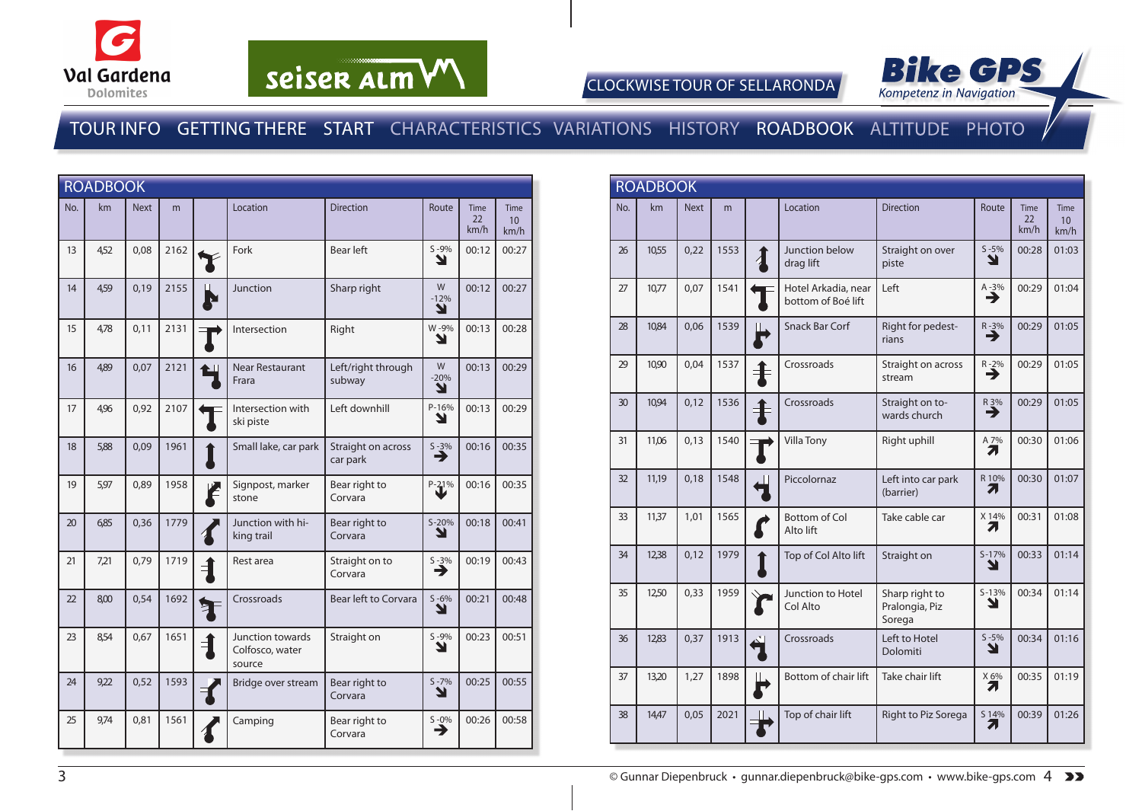





|     | <b>ROADBOOK</b> |             |      |                         |                                               |                                |                    |                           |                                         |
|-----|-----------------|-------------|------|-------------------------|-----------------------------------------------|--------------------------------|--------------------|---------------------------|-----------------------------------------|
| No. | km              | <b>Next</b> | m    |                         | Location                                      | <b>Direction</b>               | Route              | <b>Time</b><br>22<br>km/h | <b>Time</b><br>10 <sup>10</sup><br>km/h |
| 13  | 4,52            | 0,08        | 2162 |                         | Fork                                          | <b>Bear left</b>               | $S - 9%$<br>N      | 00:12                     | 00:27                                   |
| 14  | 4,59            | 0,19        | 2155 |                         | Junction                                      | Sharp right                    | W<br>$-12%$<br>Y   | 00:12                     | 00:27                                   |
| 15  | 4,78            | 0,11        | 2131 |                         | Intersection                                  | Right                          | W-9%<br>Ľ          | 00:13                     | 00:28                                   |
| 16  | 4,89            | 0,07        | 2121 |                         | <b>Near Restaurant</b><br>Frara               | Left/right through<br>subway   | W<br>$-20%$<br>N   | 00:13                     | 00:29                                   |
| 17  | 4,96            | 0,92        | 2107 |                         | Intersection with<br>ski piste                | Left downhill                  | P-16%<br>N         | 00:13                     | 00:29                                   |
| 18  | 5,88            | 0,09        | 1961 |                         | Small lake, car park                          | Straight on across<br>car park | $\sum_{ }^{5-3\%}$ | 00:16                     | 00:35                                   |
| 19  | 5,97            | 0,89        | 1958 | F                       | Signpost, marker<br>stone                     | Bear right to<br>Corvara       | $P - 21%$          | 00:16                     | 00:35                                   |
| 20  | 6,85            | 0,36        | 1779 |                         | Junction with hi-<br>king trail               | Bear right to<br>Corvara       | $S-20%$<br>Y       | 00:18                     | 00:41                                   |
| 21  | 7,21            | 0,79        | 1719 | $\overline{\mathbf{f}}$ | Rest area                                     | Straight on to<br>Corvara      | $S - 3%$<br>→      | 00:19                     | 00:43                                   |
| 22  | 8.00            | 0,54        | 1692 |                         | Crossroads                                    | Bear left to Corvara           | $S - 6%$<br>Y      | 00:21                     | 00:48                                   |
| 23  | 8,54            | 0,67        | 1651 | ╡                       | Junction towards<br>Colfosco, water<br>source | Straight on                    | $S - 9%$<br>Y      | 00:23                     | 00:51                                   |
| 24  | 9,22            | 0,52        | 1593 |                         | Bridge over stream                            | Bear right to<br>Corvara       | $S - 7%$<br>Y      | 00:25                     | 00:55                                   |
| 25  | 9,74            | 0,81        | 1561 |                         | Camping                                       | Bear right to<br>Corvara       | $S - 0\%$<br>→     | 00:26                     | 00:58                                   |

|     | <b>ROADBOOK</b> |             |      |                                           |                                            |                |                    |                                  |
|-----|-----------------|-------------|------|-------------------------------------------|--------------------------------------------|----------------|--------------------|----------------------------------|
| No. | km              | <b>Next</b> | m    | Location                                  | <b>Direction</b>                           | Route          | Time<br>22<br>km/h | Time<br>10 <sup>10</sup><br>km/h |
| 26  | 10,55           | 0,22        | 1553 | Junction below<br>drag lift               | Straight on over<br>piste                  | $S - 5%$<br>ע  | 00:28              | 01:03                            |
| 27  | 10,77           | 0,07        | 1541 | Hotel Arkadia, near<br>bottom of Boé lift | Left                                       | $A - 3%$<br>→  | 00:29              | 01:04                            |
| 28  | 10,84           | 0.06        | 1539 | <b>Snack Bar Corf</b>                     | Right for pedest-<br>rians                 | $R - 3%$<br>→  | 00:29              | 01:05                            |
| 29  | 10,90           | 0,04        | 1537 | Crossroads                                | Straight on across<br>stream               | $R - 2%$<br>→  | 00:29              | 01:05                            |
| 30  | 10,94           | 0,12        | 1536 | Crossroads                                | Straight on to-<br>wards church            | $R_3\$<br>→    | 00:29              | 01:05                            |
| 31  | 11,06           | 0,13        | 1540 | Villa Tony                                | Right uphill                               | A 7%<br>71     | 00:30              | 01:06                            |
| 32  | 11,19           | 0,18        | 1548 | Piccolornaz                               | Left into car park<br>(barrier)            | R 10%<br>7.    | 00:30              | 01:07                            |
| 33  | 11,37           | 1,01        | 1565 | Bottom of Col<br>Alto lift                | Take cable car                             | X 14%<br>7.    | 00:31              | 01:08                            |
| 34  | 12,38           | 0,12        | 1979 | Top of Col Alto lift                      | Straight on                                | $S - 17%$<br>Y | 00:33              | 01:14                            |
| 35  | 12,50           | 0,33        | 1959 | Junction to Hotel<br>Col Alto             | Sharp right to<br>Pralongia, Piz<br>Sorega | $S-13%$<br>צ   | 00:34              | 01:14                            |
| 36  | 12,83           | 0,37        | 1913 | Crossroads                                | Left to Hotel<br>Dolomiti                  | $S - 5%$<br>Ł  | 00:34              | 01:16                            |
| 37  | 13,20           | 1,27        | 1898 | Bottom of chair lift                      | Take chair lift                            | X 6%<br>71     | 00:35              | 01:19                            |
| 38  | 14,47           | 0,05        | 2021 | Top of chair lift                         | Right to Piz Sorega                        | S 14%          | 00:39              | 01:26                            |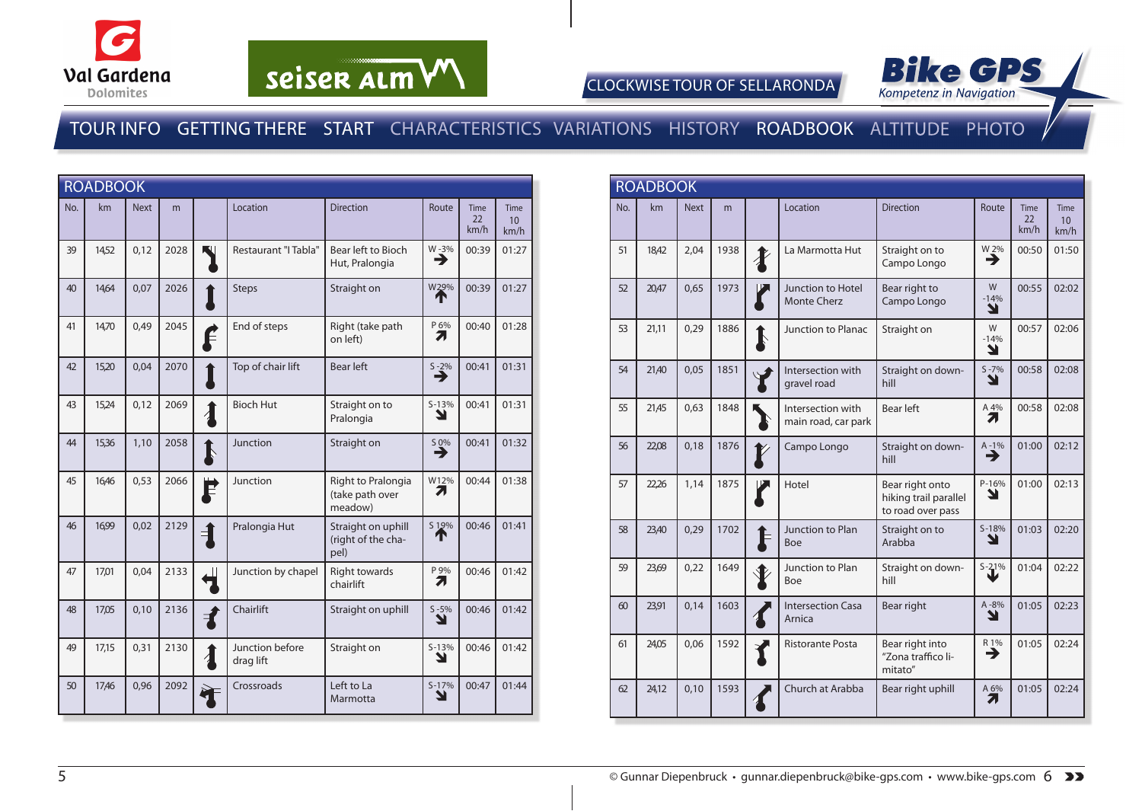





|     | <b>ROADBOOK</b> |             |      |                |                              |                                                  |                    |                    |                                        |
|-----|-----------------|-------------|------|----------------|------------------------------|--------------------------------------------------|--------------------|--------------------|----------------------------------------|
| No. | km              | <b>Next</b> | m    |                | Location                     | <b>Direction</b>                                 | Route              | Time<br>22<br>km/h | <b>Time</b><br>10 <sup>1</sup><br>km/h |
| 39  | 14,52           | 0,12        | 2028 |                | <b>Restaurant "I Tabla"</b>  | Bear left to Bioch<br>Hut, Pralongia             | W-3%<br>→          | 00:39              | 01:27                                  |
| 40  | 14,64           | 0,07        | 2026 |                | <b>Steps</b>                 | Straight on                                      | W29%<br>Т          | 00:39              | 01:27                                  |
| 41  | 14,70           | 0,49        | 2045 | Ê              | End of steps                 | Right (take path<br>on left)                     | P 6%<br>Л          | 00:40              | 01:28                                  |
| 42  | 15,20           | 0,04        | 2070 |                | Top of chair lift            | Bear left                                        | $\sum_{ }^{5-2\%}$ | 00:41              | 01:31                                  |
| 43  | 15,24           | 0,12        | 2069 | $\overline{A}$ | <b>Bioch Hut</b>             | Straight on to<br>Pralongia                      | $S-13%$<br>N       | 00:41              | 01:31                                  |
| 44  | 15,36           | 1,10        | 2058 | Ţ              | Junction                     | Straight on                                      | $\rightarrow$      | 00:41              | 01:32                                  |
| 45  | 16.46           | 0,53        | 2066 | F              | Junction                     | Right to Pralongia<br>(take path over<br>meadow) | W12%<br>2.         | 00:44              | 01:38                                  |
| 46  | 16,99           | 0,02        | 2129 |                | Pralongia Hut                | Straight on uphill<br>(right of the cha-<br>pel) | S 19%              | 00:46              | 01:41                                  |
| 47  | 17,01           | 0,04        | 2133 | Ш              | Junction by chapel           | <b>Right towards</b><br>chairlift                | P 9%<br>7          | 00:46              | 01:42                                  |
| 48  | 17,05           | 0,10        | 2136 | $\mathbf{f}$   | Chairlift                    | Straight on uphill                               | $S - 5%$<br>N      | 00:46              | 01:42                                  |
| 49  | 17,15           | 0,31        | 2130 |                | Junction before<br>drag lift | Straight on                                      | $S-13%$<br>Y       | 00:46              | 01:42                                  |
| 50  | 17,46           | 0,96        | 2092 |                | Crossroads                   | Left to La<br>Marmotta                           | $S-17%$<br>Y       | 00:47              | 01:44                                  |

|     | <b>ROADBOOK</b> |             |      |                                          |                                                               |                  |                           |                                        |
|-----|-----------------|-------------|------|------------------------------------------|---------------------------------------------------------------|------------------|---------------------------|----------------------------------------|
| No. | km              | <b>Next</b> | m    | Location                                 | <b>Direction</b>                                              | Route            | <b>Time</b><br>22<br>km/h | <b>Time</b><br>10 <sup>°</sup><br>km/h |
| 51  | 18,42           | 2,04        | 1938 | La Marmotta Hut                          | Straight on to<br>Campo Longo                                 | W 2%<br>→        | 00:50                     | 01:50                                  |
| 52  | 20,47           | 0.65        | 1973 | Junction to Hotel<br><b>Monte Cherz</b>  | Bear right to<br>Campo Longo                                  | W<br>$-14%$<br>Y | 00:55                     | 02:02                                  |
| 53  | 21,11           | 0,29        | 1886 | <b>Junction to Planac</b>                | Straight on                                                   | W<br>$-14%$<br>Y | 00:57                     | 02:06                                  |
| 54  | 21,40           | 0,05        | 1851 | Intersection with<br>gravel road         | Straight on down-<br>hill                                     | $S - 7%$<br>Y    | 00:58                     | 02:08                                  |
| 55  | 21,45           | 0.63        | 1848 | Intersection with<br>main road, car park | <b>Bear left</b>                                              | A 4%<br>71       | 00:58                     | 02:08                                  |
| 56  | 22,08           | 0.18        | 1876 | Campo Longo                              | Straight on down-<br>hill                                     | $A - 1%$<br>→    | 01:00                     | 02:12                                  |
| 57  | 22,26           | 1,14        | 1875 | Hotel                                    | Bear right onto<br>hiking trail parallel<br>to road over pass | P-16%<br>Y       | 01:00                     | 02:13                                  |
| 58  | 23.40           | 0,29        | 1702 | Junction to Plan<br><b>Boe</b>           | Straight on to<br>Arabba                                      | $S-18%$<br>Y     | 01:03                     | 02:20                                  |
| 59  | 23,69           | 0,22        | 1649 | Junction to Plan<br><b>Boe</b>           | Straight on down-<br>hill                                     | $S - 21%$        | 01:04                     | 02:22                                  |
| 60  | 23,91           | 0,14        | 1603 | <b>Intersection Casa</b><br>Arnica       | Bear right                                                    | $A - 8%$<br>Y    | 01:05                     | 02:23                                  |
| 61  | 24,05           | 0,06        | 1592 | <b>Ristorante Posta</b>                  | Bear right into<br>"Zona traffico li-<br>mitato"              | R 1%<br>→        | 01:05                     | 02:24                                  |
| 62  | 24,12           | 0,10        | 1593 | Church at Arabba                         | Bear right uphill                                             | A 6%<br>71       | 01:05                     | 02:24                                  |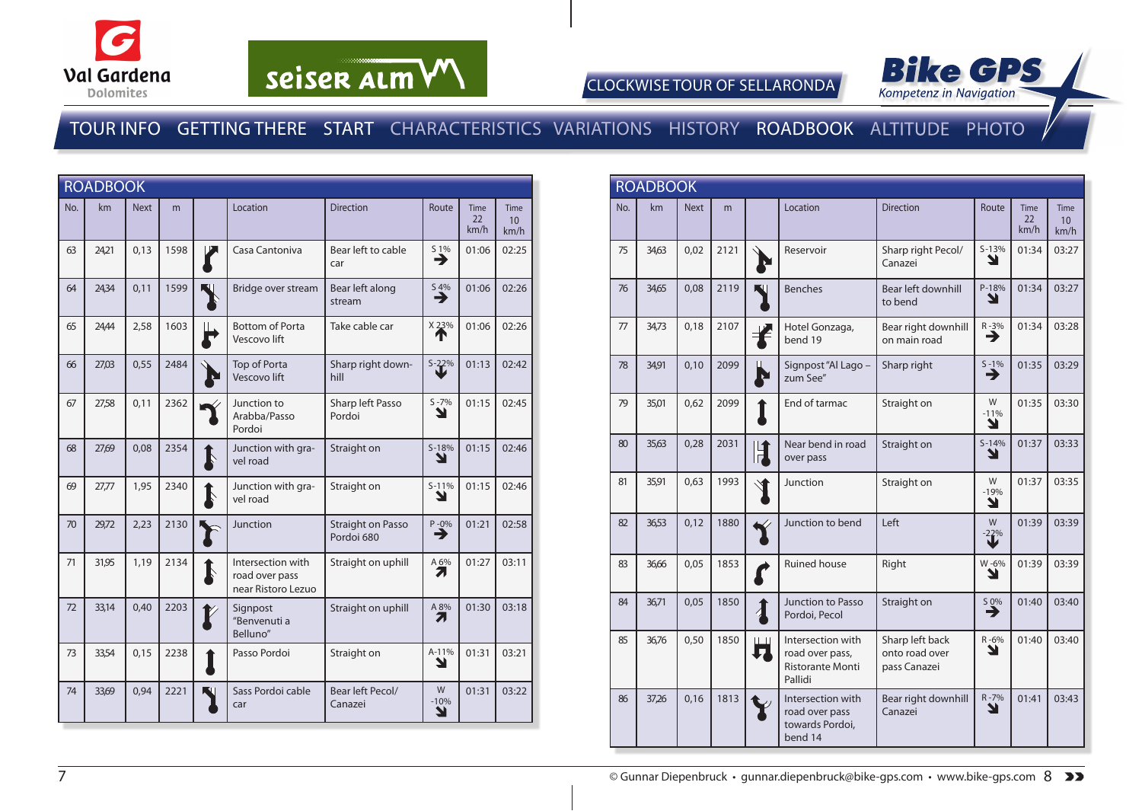





|     | <b>ROADBOOK</b> |             |      |              |                                                           |                                        |                  |                    |                                         |
|-----|-----------------|-------------|------|--------------|-----------------------------------------------------------|----------------------------------------|------------------|--------------------|-----------------------------------------|
| No. | km              | <b>Next</b> | m    |              | Location                                                  | <b>Direction</b>                       | Route            | Time<br>22<br>km/h | <b>Time</b><br>10 <sup>10</sup><br>km/h |
| 63  | 24,21           | 0,13        | 1598 |              | Casa Cantoniva                                            | Bear left to cable<br>car              | S 1%<br>→        | 01:06              | 02:25                                   |
| 64  | 24,34           | 0,11        | 1599 |              | Bridge over stream                                        | Bear left along<br>stream              | $\rightarrow$    | 01:06              | 02:26                                   |
| 65  | 24,44           | 2,58        | 1603 |              | <b>Bottom of Porta</b><br>Vescovo lift                    | Take cable car                         | X23%             | 01:06              | 02:26                                   |
| 66  | 27,03           | 0,55        | 2484 |              | Top of Porta<br><b>Vescovo lift</b>                       | Sharp right down-<br>hill              | $S - 22%$        | 01:13              | 02:42                                   |
| 67  | 27,58           | 0,11        | 2362 |              | Junction to<br>Arabba/Passo<br>Pordoi                     | Sharp left Passo<br>Pordoi             | $S - 7%$<br>Y    | 01:15              | 02:45                                   |
| 68  | 27,69           | 0,08        | 2354 | $\mathbf{I}$ | Junction with gra-<br>vel road                            | Straight on                            | $S-18%$<br>Y     | 01:15              | 02:46                                   |
| 69  | 27,77           | 1,95        | 2340 | $\mathbf I$  | Junction with gra-<br>vel road                            | Straight on                            | $S-11%$<br>N     | 01:15              | 02:46                                   |
| 70  | 29,72           | 2,23        | 2130 |              | Junction                                                  | <b>Straight on Passo</b><br>Pordoi 680 | $P - 0\%$        | 01:21              | 02:58                                   |
| 71  | 31,95           | 1,19        | 2134 | $\mathbf I$  | Intersection with<br>road over pass<br>near Ristoro Lezuo | Straight on uphill                     | A 6%<br>7        | 01:27              | 03:11                                   |
| 72  | 33,14           | 0,40        | 2203 |              | Signpost<br>"Benvenuti a<br>Belluno"                      | Straight on uphill                     | A 8%<br>71       | 01:30              | 03:18                                   |
| 73  | 33,54           | 0,15        | 2238 |              | Passo Pordoi                                              | Straight on                            | A-11%<br>N       | 01:31              | 03:21                                   |
| 74  | 33,69           | 0,94        | 2221 |              | Sass Pordoi cable<br>car                                  | Bear left Pecol/<br>Canazei            | W<br>$-10%$<br>N | 01:31              | 03:22                                   |

|     | <b>ROADBOOK</b> |             |      |                          |                                                                            |                                                   |                  |                           |                                        |
|-----|-----------------|-------------|------|--------------------------|----------------------------------------------------------------------------|---------------------------------------------------|------------------|---------------------------|----------------------------------------|
| No. | km              | <b>Next</b> | m    |                          | Location                                                                   | <b>Direction</b>                                  | Route            | <b>Time</b><br>22<br>km/h | <b>Time</b><br>10 <sup>°</sup><br>km/h |
| 75  | 34,63           | 0,02        | 2121 |                          | Reservoir                                                                  | Sharp right Pecol/<br>Canazei                     | $S-13%$<br>Y     | 01:34                     | 03:27                                  |
| 76  | 34,65           | 0.08        | 2119 |                          | <b>Benches</b>                                                             | Bear left downhill<br>to bend                     | P-18%<br>N       | 01:34                     | 03:27                                  |
| 77  | 34,73           | 0,18        | 2107 |                          | Hotel Gonzaga,<br>bend 19                                                  | Bear right downhill<br>on main road               | $R - 3%$<br>→    | 01:34                     | 03:28                                  |
| 78  | 34,91           | 0,10        | 2099 | ど                        | Signpost "Al Lago -<br>zum See"                                            | Sharp right                                       | $S - 1%$<br>→    | 01:35                     | 03:29                                  |
| 79  | 35,01           | 0.62        | 2099 |                          | End of tarmac                                                              | Straight on                                       | W<br>$-11%$<br>Y | 01:35                     | 03:30                                  |
| 80  | 35,63           | 0,28        | 2031 | H<br>1                   | Near bend in road<br>over pass                                             | Straight on                                       | $S-14%$<br>Y     | 01:37                     | 03:33                                  |
| 81  | 35,91           | 0.63        | 1993 |                          | Junction                                                                   | Straight on                                       | W<br>$-19%$<br>N | 01:37                     | 03:35                                  |
| 82  | 36,53           | 0,12        | 1880 |                          | Junction to bend                                                           | Left                                              | W<br>$-22%$      | 01:39                     | 03:39                                  |
| 83  | 36,66           | 0.05        | 1853 |                          | <b>Ruined house</b>                                                        | Right                                             | W-6%<br>Y        | 01:39                     | 03:39                                  |
| 84  | 36,71           | 0,05        | 1850 | $\overline{\mathcal{A}}$ | Junction to Passo<br>Pordoi, Pecol                                         | Straight on                                       | S 0%<br>→        | 01:40                     | 03:40                                  |
| 85  | 36,76           | 0,50        | 1850 | $   \   $<br>I,          | Intersection with<br>road over pass,<br><b>Ristorante Monti</b><br>Pallidi | Sharp left back<br>onto road over<br>pass Canazei | $R - 6%$<br>ע    | 01:40                     | 03:40                                  |
| 86  | 37,26           | 0,16        | 1813 |                          | Intersection with<br>road over pass<br>towards Pordoi,<br>bend 14          | Bear right downhill<br>Canazei                    | $R - 7%$<br>Y    | 01:41                     | 03:43                                  |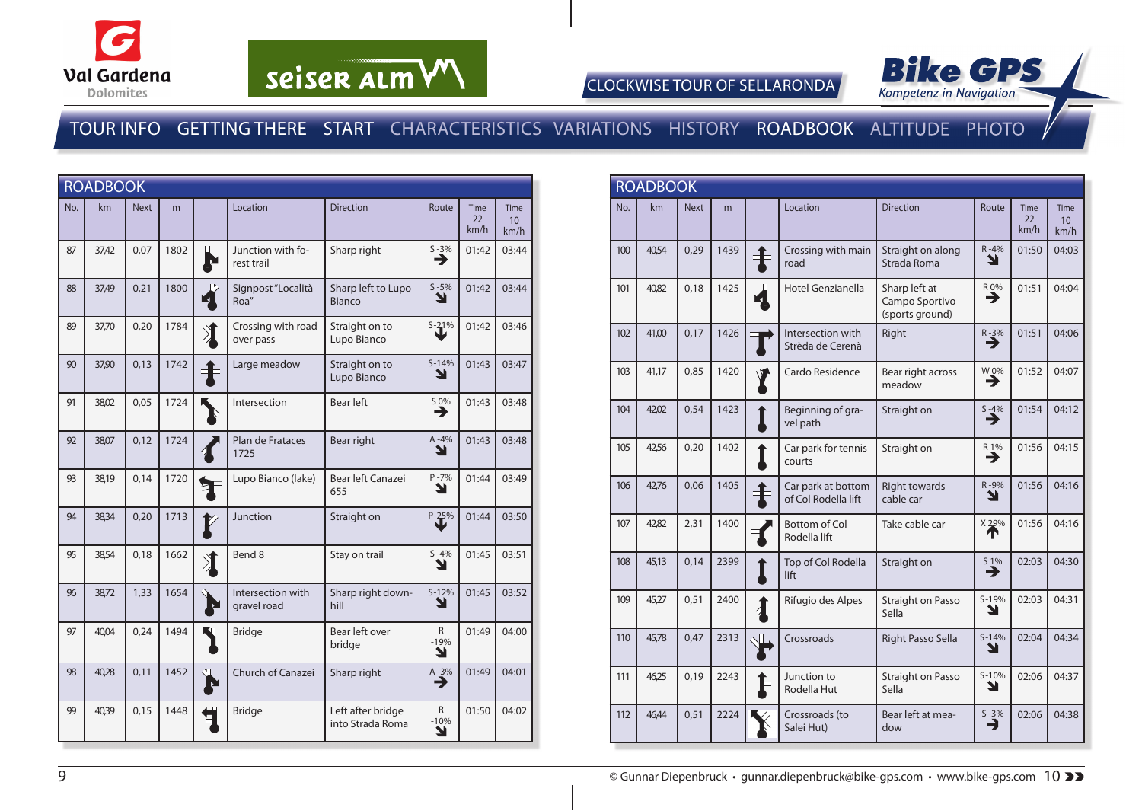





|     | <b>ROADBOOK</b> |             |      |            |                                  |                                       |                             |                    |                                  |
|-----|-----------------|-------------|------|------------|----------------------------------|---------------------------------------|-----------------------------|--------------------|----------------------------------|
| No. | km              | <b>Next</b> | m    |            | Location                         | <b>Direction</b>                      | Route                       | Time<br>22<br>km/h | Time<br>10 <sup>10</sup><br>km/h |
| 87  | 37,42           | 0,07        | 1802 | E.         | Junction with fo-<br>rest trail  | Sharp right                           | $S - 3\%$<br>→              | 01:42              | 03:44                            |
| 88  | 37,49           | 0,21        | 1800 | 4          | Signpost "Località<br>Roa"       | Sharp left to Lupo<br><b>Bianco</b>   | $S - 5%$<br>N               | 01:42              | 03:44                            |
| 89  | 37,70           | 0,20        | 1784 | $\searrow$ | Crossing with road<br>over pass  | Straight on to<br>Lupo Bianco         | $S - 21%$                   | 01:42              | 03:46                            |
| 90  | 37,90           | 0.13        | 1742 |            | Large meadow                     | Straight on to<br>Lupo Bianco         | $S-14%$<br>Y                | 01:43              | 03:47                            |
| 91  | 38,02           | 0,05        | 1724 |            | Intersection                     | <b>Bear left</b>                      | S 0%<br>→                   | 01:43              | 03:48                            |
| 92  | 38,07           | 0,12        | 1724 |            | Plan de Frataces<br>1725         | Bear right                            | $A - 4%$<br>N               | 01:43              | 03:48                            |
| 93  | 38,19           | 0,14        | 1720 |            | Lupo Bianco (lake)               | Bear left Canazei<br>655              | $P - 7%$<br>Y               | 01:44              | 03:49                            |
| 94  | 38,34           | 0,20        | 1713 |            | Junction                         | Straight on                           | $P - 25%$                   | 01:44              | 03:50                            |
| 95  | 38,54           | 0,18        | 1662 | 》          | Bend 8                           | Stay on trail                         | $S - 4%$<br>Y               | 01:45              | 03:51                            |
| 96  | 38,72           | 1,33        | 1654 |            | Intersection with<br>gravel road | Sharp right down-<br>hill             | $S-12%$<br>Y                | 01:45              | 03:52                            |
| 97  | 40,04           | 0,24        | 1494 | W          | <b>Bridge</b>                    | Bear left over<br>bridge              | $\mathsf{R}$<br>$-19%$<br>Y | 01:49              | 04:00                            |
| 98  | 40,28           | 0,11        | 1452 |            | Church of Canazei                | Sharp right                           | $A - 3\%$                   | 01:49              | 04:01                            |
| 99  | 40,39           | 0,15        | 1448 |            | <b>Bridge</b>                    | Left after bridge<br>into Strada Roma | $\mathsf{R}$<br>$-10%$<br>N | 01:50              | 04:02                            |

|     | <b>ROADBOOK</b> |             |      |           |                                           |                                                    |                         |                    |                                 |  |
|-----|-----------------|-------------|------|-----------|-------------------------------------------|----------------------------------------------------|-------------------------|--------------------|---------------------------------|--|
| No. | km              | <b>Next</b> | m    |           | Location                                  | <b>Direction</b>                                   | Route                   | Time<br>22<br>km/h | Time<br>10 <sup>1</sup><br>km/h |  |
| 100 | 40.54           | 0.29        | 1439 |           | Crossing with main<br>road                | Straight on along<br>Strada Roma                   | $R - 4%$<br>Y           | 01:50              | 04:03                           |  |
| 101 | 40,82           | 0,18        | 1425 |           | <b>Hotel Genzianella</b>                  | Sharp left at<br>Campo Sportivo<br>(sports ground) | $R_{\rightarrow}^{0\%}$ | 01:51              | 04:04                           |  |
| 102 | 41,00           | 0,17        | 1426 |           | Intersection with<br>Strèda de Cerenà     | Right                                              | $R - 3\%$               | 01:51              | 04:06                           |  |
| 103 | 41,17           | 0.85        | 1420 |           | Cardo Residence                           | Bear right across<br>meadow                        | W 0%<br>→               | 01:52              | 04:07                           |  |
| 104 | 42,02           | 0,54        | 1423 |           | Beginning of gra-<br>vel path             | Straight on                                        | $S - 4%$<br>→           | 01:54              | 04:12                           |  |
| 105 | 42,56           | 0,20        | 1402 |           | Car park for tennis<br>courts             | Straight on                                        | R 1%<br>→               | 01:56              | 04:15                           |  |
| 106 | 42,76           | 0.06        | 1405 |           | Car park at bottom<br>of Col Rodella lift | Right towards<br>cable car                         | R-9%<br>Y               | 01:56              | 04:16                           |  |
| 107 | 42,82           | 2,31        | 1400 |           | <b>Bottom of Col</b><br>Rodella lift      | Take cable car                                     | X 29%<br>Т              | 01:56              | 04:16                           |  |
| 108 | 45,13           | 0,14        | 2399 |           | Top of Col Rodella<br>lift                | Straight on                                        | $S_1\%$<br>→            | 02:03              | 04:30                           |  |
| 109 | 45,27           | 0.51        | 2400 | $\lambda$ | Rifugio des Alpes                         | Straight on Passo<br>Sella                         | $S-19%$<br>Y            | 02:03              | 04:31                           |  |
| 110 | 45,78           | 0.47        | 2313 |           | Crossroads                                | Right Passo Sella                                  | $S-14%$<br>Y            | 02:04              | 04:34                           |  |
| 111 | 46,25           | 0,19        | 2243 |           | Junction to<br>Rodella Hut                | <b>Straight on Passo</b><br>Sella                  | $S - 10%$<br>Y          | 02:06              | 04:37                           |  |
| 112 | 46,44           | 0,51        | 2224 |           | Crossroads (to<br>Salei Hut)              | Bear left at mea-<br>dow                           | $S - 3%$                | 02:06              | 04:38                           |  |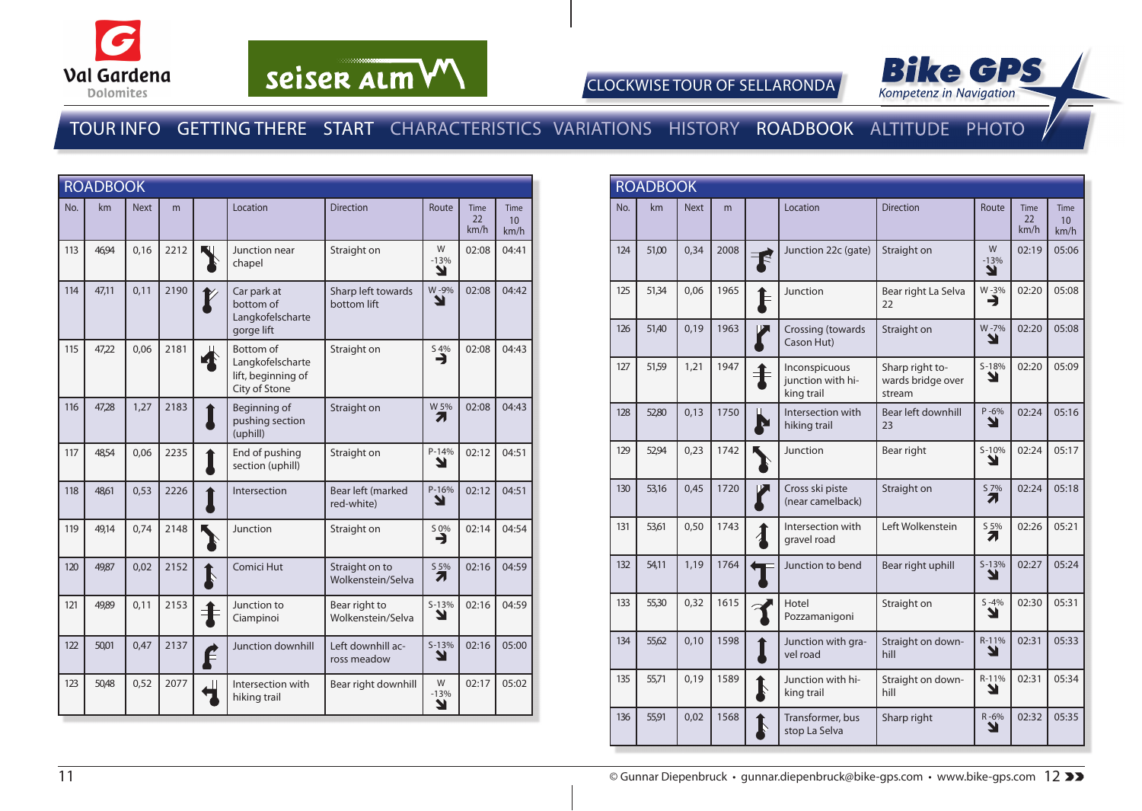





|     | <b>ROADBOOK</b> |             |      |             |                                                                             |                                     |                          |                    |                                         |  |
|-----|-----------------|-------------|------|-------------|-----------------------------------------------------------------------------|-------------------------------------|--------------------------|--------------------|-----------------------------------------|--|
| No. | km              | <b>Next</b> | m    |             | Location                                                                    | <b>Direction</b>                    | Route                    | Time<br>22<br>km/h | <b>Time</b><br>10 <sup>10</sup><br>km/h |  |
| 113 | 46,94           | 0,16        | 2212 |             | Junction near<br>chapel                                                     | Straight on                         | W<br>$-13%$<br>Y         | 02:08              | 04:41                                   |  |
| 114 | 47,11           | 0,11        | 2190 |             | Car park at<br>bottom of<br>Langkofelscharte<br>gorge lift                  | Sharp left towards<br>bottom lift   | W-9%<br>N                | 02:08              | 04:42                                   |  |
| 115 | 47,22           | 0,06        | 2181 |             | <b>Bottom</b> of<br>Langkofelscharte<br>lift, beginning of<br>City of Stone | Straight on                         | $S \underline{4\%}$<br>⊣ | 02:08              | 04:43                                   |  |
| 116 | 47,28           | 1,27        | 2183 |             | Beginning of<br>pushing section<br>(uphill)                                 | Straight on                         | W 5%<br>71               | 02:08              | 04:43                                   |  |
| 117 | 48,54           | 0,06        | 2235 |             | End of pushing<br>section (uphill)                                          | Straight on                         | $P-14%$<br>Y             | 02:12              | 04:51                                   |  |
| 118 | 48,61           | 0,53        | 2226 |             | Intersection                                                                | Bear left (marked<br>red-white)     | $P-16%$<br>Y             | 02:12              | 04:51                                   |  |
| 119 | 49,14           | 0,74        | 2148 |             | Junction                                                                    | Straight on                         | S 0%<br>→                | 02:14              | 04:54                                   |  |
| 120 | 49,87           | 0,02        | 2152 | $\mathbf I$ | Comici Hut                                                                  | Straight on to<br>Wolkenstein/Selva | S 5%<br>71               | 02:16              | 04:59                                   |  |
| 121 | 49,89           | 0,11        | 2153 | $\ddagger$  | Junction to<br>Ciampinoi                                                    | Bear right to<br>Wolkenstein/Selva  | $S-13%$<br>Y             | 02:16              | 04:59                                   |  |
| 122 | 50,01           | 0,47        | 2137 | Ê           | Junction downhill                                                           | Left downhill ac-<br>ross meadow    | $S-13%$<br>Y             | 02:16              | 05:00                                   |  |
| 123 | 50.48           | 0,52        | 2077 |             | Intersection with<br>hiking trail                                           | Bear right downhill                 | W<br>$-13%$<br>Y         | 02:17              | 05:02                                   |  |

|     | <b>ROADBOOK</b> |             |      |           |                                                  |                                                |                  |                           |                                  |  |
|-----|-----------------|-------------|------|-----------|--------------------------------------------------|------------------------------------------------|------------------|---------------------------|----------------------------------|--|
| No. | km              | <b>Next</b> | m    |           | Location                                         | <b>Direction</b>                               | Route            | <b>Time</b><br>22<br>km/h | Time<br>10 <sup>10</sup><br>km/h |  |
| 124 | 51,00           | 0.34        | 2008 | É         | Junction 22c (gate)                              | Straight on                                    | W<br>$-13%$<br>N | 02:19                     | 05:06                            |  |
| 125 | 51,34           | 0.06        | 1965 | ╞         | Junction                                         | Bear right La Selva<br>22                      | W-3%<br>∍        | 02:20                     | 05:08                            |  |
| 126 | 51,40           | 0,19        | 1963 |           | Crossing (towards<br>Cason Hut)                  | Straight on                                    | W-7%<br>N        | 02:20                     | 05:08                            |  |
| 127 | 51,59           | 1,21        | 1947 | $\bf{+}$  | Inconspicuous<br>junction with hi-<br>king trail | Sharp right to-<br>wards bridge over<br>stream | $S-18%$<br>N     | 02:20                     | 05:09                            |  |
| 128 | 52,80           | 0,13        | 1750 | ப்        | Intersection with<br>hiking trail                | Bear left downhill<br>23                       | $P - 6%$<br>Ł    | 02:24                     | 05:16                            |  |
| 129 | 52,94           | 0,23        | 1742 |           | Junction                                         | Bear right                                     | $S - 10%$<br>Y   | 02:24                     | 05:17                            |  |
| 130 | 53,16           | 0,45        | 1720 |           | Cross ski piste<br>(near camelback)              | Straight on                                    | S 7%<br>71       | 02:24                     | 05:18                            |  |
| 131 | 53,61           | 0,50        | 1743 | $\lambda$ | Intersection with<br>gravel road                 | Left Wolkenstein                               | S 5%<br>7        | 02:26                     | 05:21                            |  |
| 132 | 54,11           | 1,19        | 1764 |           | Junction to bend                                 | Bear right uphill                              | $S-13%$<br>Y     | 02:27                     | 05:24                            |  |
| 133 | 55,30           | 0,32        | 1615 |           | Hotel<br>Pozzamanigoni                           | Straight on                                    | $S - 4%$<br>Y    | 02:30                     | 05:31                            |  |
| 134 | 55,62           | 0,10        | 1598 |           | Junction with gra-<br>vel road                   | Straight on down-<br>hill                      | R-11%<br>צ       | 02:31                     | 05:33                            |  |
| 135 | 55,71           | 0,19        | 1589 | Ņ         | Junction with hi-<br>king trail                  | Straight on down-<br>hill                      | R-11%<br>N       | 02:31                     | 05:34                            |  |
| 136 | 55,91           | 0,02        | 1568 |           | Transformer, bus<br>stop La Selva                | Sharp right                                    | $R - 6%$<br>Y    | 02:32                     | 05:35                            |  |